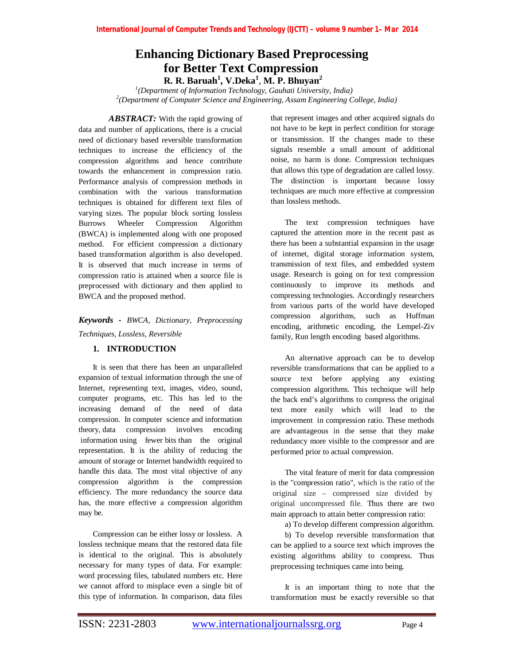# **Enhancing Dictionary Based Preprocessing for Better Text Compression R. R. Baruah<sup>1</sup> , V.Deka<sup>1</sup>** , **M. P. Bhuyan<sup>2</sup>**

*1 (Department of Information Technology, Gauhati University, India) 2 (Department of Computer Science and Engineering, Assam Engineering College, India)* 

ABSTRACT: With the rapid growing of data and number of applications, there is a crucial need of dictionary based reversible transformation techniques to increase the efficiency of the compression algorithms and hence contribute towards the enhancement in compression ratio. Performance analysis of compression methods in combination with the various transformation techniques is obtained for different text files of varying sizes. The popular block sorting lossless Burrows Wheeler Compression Algorithm (BWCA) is implemented along with one proposed method. For efficient compression a dictionary based transformation algorithm is also developed. It is observed that much increase in terms of compression ratio is attained when a source file is preprocessed with dictionary and then applied to BWCA and the proposed method.

*Keywords - BWCA, Dictionary, Preprocessing Techniques, Lossless, Reversible*

### **1. INTRODUCTION**

It is seen that there has been an unparalleled expansion of textual information through the use of Internet, representing text, images, video, sound, computer programs, etc. This has led to the increasing demand of the need of data compression. In computer science and information theory, data compression involves encoding information using fewer bits than the original representation. It is the ability of reducing the amount of storage or Internet bandwidth required to handle this data. The most vital objective of any compression algorithm is the compression efficiency. The more redundancy the source data has, the more effective a compression algorithm may be.

Compression can be either lossy or lossless. A lossless technique means that the restored data file is identical to the original. This is absolutely necessary for many types of data. For example: word processing files, tabulated numbers etc. Here we cannot afford to misplace even a single bit of this type of information. In comparison, data files

that represent images and other acquired signals do not have to be kept in perfect condition for storage or transmission. If the changes made to these signals resemble a small amount of additional noise, no harm is done. Compression techniques that allows this type of degradation are called lossy. The distinction is important because lossy techniques are much more effective at compression than lossless methods.

The text compression techniques have captured the attention more in the recent past as there has been a substantial expansion in the usage of internet, digital storage information system, transmission of text files, and embedded system usage. Research is going on for text compression continuously to improve its methods and compressing technologies. Accordingly researchers from various parts of the world have developed compression algorithms, such as Huffman encoding, arithmetic encoding, the Lempel-Ziv family, Run length encoding based algorithms.

An alternative approach can be to develop reversible transformations that can be applied to a source text before applying any existing compression algorithms. This technique will help the back end's algorithms to compress the original text more easily which will lead to the improvement in compression ratio. These methods are advantageous in the sense that they make redundancy more visible to the compressor and are performed prior to actual compression.

The vital feature of merit for data compression is the "compression ratio", which is the ratio of the original size – compressed size divided by original uncompressed file. Thus there are two main approach to attain better compression ratio:

a) To develop different compression algorithm.

b) To develop reversible transformation that can be applied to a source text which improves the existing algorithms ability to compress. Thus preprocessing techniques came into being.

It is an important thing to note that the transformation must be exactly reversible so that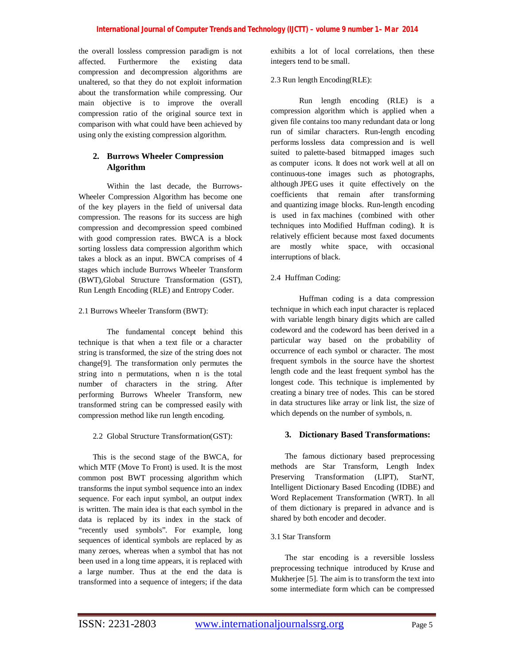the overall lossless compression paradigm is not affected. Furthermore the existing data compression and decompression algorithms are unaltered, so that they do not exploit information about the transformation while compressing. Our main objective is to improve the overall compression ratio of the original source text in comparison with what could have been achieved by using only the existing compression algorithm.

## **2. Burrows Wheeler Compression Algorithm**

Within the last decade, the Burrows-Wheeler Compression Algorithm has become one of the key players in the field of universal data compression. The reasons for its success are high compression and decompression speed combined with good compression rates. BWCA is a block sorting lossless data compression algorithm which takes a block as an input. BWCA comprises of 4 stages which include Burrows Wheeler Transform (BWT),Global Structure Transformation (GST), Run Length Encoding (RLE) and Entropy Coder.

### 2.1 Burrows Wheeler Transform (BWT):

The fundamental concept behind this technique is that when a text file or a character string is transformed, the size of the string does not change[9]. The transformation only permutes the string into n permutations, when n is the total number of characters in the string. After performing Burrows Wheeler Transform, new transformed string can be compressed easily with compression method like run length encoding.

2.2 Global Structure Transformation(GST):

This is the second stage of the BWCA, for which MTF (Move To Front) is used. It is the most common post BWT processing algorithm which transforms the input symbol sequence into an index sequence. For each input symbol, an output index is written. The main idea is that each symbol in the data is replaced by its index in the stack of "recently used symbols". For example, long sequences of identical symbols are replaced by as many zeroes, whereas when a symbol that has not been used in a long time appears, it is replaced with a large number. Thus at the end the data is transformed into a sequence of integers; if the data

exhibits a lot of local correlations, then these integers tend to be small.

2.3 Run length Encoding(RLE):

Run length encoding (RLE) is a compression algorithm which is applied when a given file contains too many redundant data or long run of similar characters. Run-length encoding performs lossless data compression and is well suited to palette-based bitmapped images such as computer icons. It does not work well at all on continuous-tone images such as photographs, although JPEG uses it quite effectively on the coefficients that remain after transforming and quantizing image blocks. Run-length encoding is used in fax machines (combined with other techniques into Modified Huffman coding). It is relatively efficient because most faxed documents are mostly white space, with occasional interruptions of black.

### 2.4 Huffman Coding:

Huffman coding is a data compression technique in which each input character is replaced with variable length binary digits which are called codeword and the codeword has been derived in a particular way based on the probability of occurrence of each symbol or character. The most frequent symbols in the source have the shortest length code and the least frequent symbol has the longest code. This technique is implemented by creating a binary tree of nodes. This can be stored in data structures like array or link list, the size of which depends on the number of symbols, n.

### **3. Dictionary Based Transformations:**

The famous dictionary based preprocessing methods are Star Transform, Length Index Preserving Transformation (LIPT), StarNT, Intelligent Dictionary Based Encoding (IDBE) and Word Replacement Transformation (WRT). In all of them dictionary is prepared in advance and is shared by both encoder and decoder.

### 3.1 Star Transform

The star encoding is a reversible lossless preprocessing technique introduced by Kruse and Mukherjee [5]. The aim is to transform the text into some intermediate form which can be compressed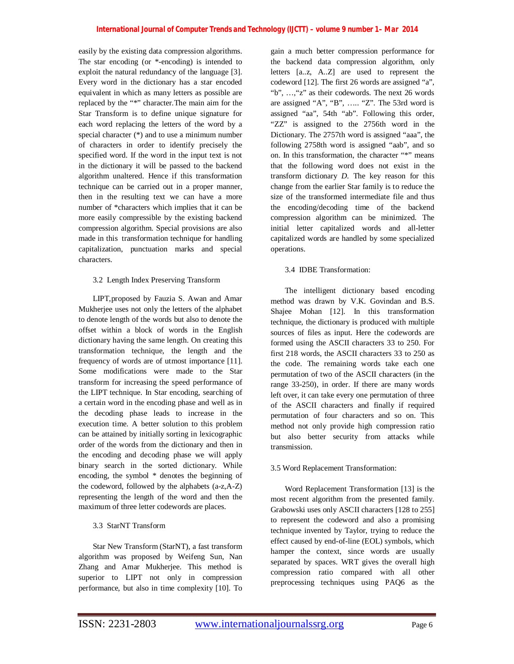easily by the existing data compression algorithms. The star encoding (or \*-encoding) is intended to exploit the natural redundancy of the language [3]. Every word in the dictionary has a star encoded equivalent in which as many letters as possible are replaced by the "\*" character.The main aim for the Star Transform is to define unique signature for each word replacing the letters of the word by a special character (\*) and to use a minimum number of characters in order to identify precisely the specified word. If the word in the input text is not in the dictionary it will be passed to the backend algorithm unaltered. Hence if this transformation technique can be carried out in a proper manner, then in the resulting text we can have a more number of \*characters which implies that it can be more easily compressible by the existing backend compression algorithm. Special provisions are also made in this transformation technique for handling capitalization, punctuation marks and special characters.

### 3.2 Length Index Preserving Transform

LIPT,proposed by Fauzia S. Awan and Amar Mukherjee uses not only the letters of the alphabet to denote length of the words but also to denote the offset within a block of words in the English dictionary having the same length. On creating this transformation technique, the length and the frequency of words are of utmost importance [11]. Some modifications were made to the Star transform for increasing the speed performance of the LIPT technique. In Star encoding, searching of a certain word in the encoding phase and well as in the decoding phase leads to increase in the execution time. A better solution to this problem can be attained by initially sorting in lexicographic order of the words from the dictionary and then in the encoding and decoding phase we will apply binary search in the sorted dictionary. While encoding, the symbol \* denotes the beginning of the codeword, followed by the alphabets (a-z,A-Z) representing the length of the word and then the maximum of three letter codewords are places.

### 3.3 StarNT Transform

Star New Transform (StarNT), a fast transform algorithm was proposed by Weifeng Sun, Nan Zhang and Amar Mukherjee. This method is superior to LIPT not only in compression performance, but also in time complexity [10]. To

gain a much better compression performance for the backend data compression algorithm, only letters [a..z, A..Z] are used to represent the codeword [12]. The first 26 words are assigned "a", "b", …,"z" as their codewords. The next 26 words are assigned "A", "B", ….. "Z". The 53rd word is assigned "aa", 54th "ab". Following this order, "ZZ" is assigned to the 2756th word in the Dictionary. The 2757th word is assigned "aaa", the following 2758th word is assigned "aab", and so on. In this transformation, the character "\*" means that the following word does not exist in the transform dictionary *D*. The key reason for this change from the earlier Star family is to reduce the size of the transformed intermediate file and thus the encoding/decoding time of the backend compression algorithm can be minimized. The initial letter capitalized words and all-letter capitalized words are handled by some specialized operations.

### 3.4 IDBE Transformation:

The intelligent dictionary based encoding method was drawn by V.K. Govindan and B.S. Shajee Mohan [12]. In this transformation technique, the dictionary is produced with multiple sources of files as input. Here the codewords are formed using the ASCII characters 33 to 250. For first 218 words, the ASCII characters 33 to 250 as the code. The remaining words take each one permutation of two of the ASCII characters (in the range 33-250), in order. If there are many words left over, it can take every one permutation of three of the ASCII characters and finally if required permutation of four characters and so on. This method not only provide high compression ratio but also better security from attacks while transmission.

### 3.5 Word Replacement Transformation:

Word Replacement Transformation [13] is the most recent algorithm from the presented family. Grabowski uses only ASCII characters [128 to 255] to represent the codeword and also a promising technique invented by Taylor, trying to reduce the effect caused by end-of-line (EOL) symbols, which hamper the context, since words are usually separated by spaces. WRT gives the overall high compression ratio compared with all other preprocessing techniques using PAQ6 as the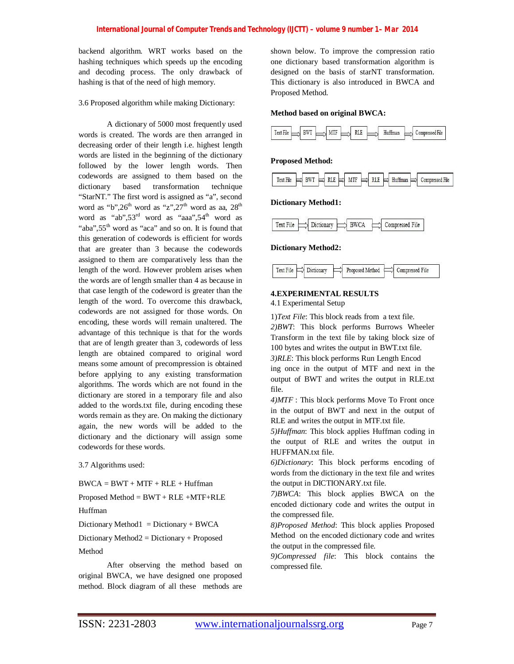backend algorithm. WRT works based on the hashing techniques which speeds up the encoding and decoding process. The only drawback of hashing is that of the need of high memory.

#### 3.6 Proposed algorithm while making Dictionary:

A dictionary of 5000 most frequently used words is created. The words are then arranged in decreasing order of their length i.e. highest length words are listed in the beginning of the dictionary followed by the lower length words. Then codewords are assigned to them based on the dictionary based transformation technique "StarNT." The first word is assigned as "a", second word as "b",  $26<sup>th</sup>$  word as "z",  $27<sup>th</sup>$  word as aa,  $28<sup>th</sup>$ word as "ab",  $53<sup>rd</sup>$  word as "aaa",  $54<sup>th</sup>$  word as "aba",  $55<sup>th</sup>$  word as "aca" and so on. It is found that this generation of codewords is efficient for words that are greater than 3 because the codewords assigned to them are comparatively less than the length of the word. However problem arises when the words are of length smaller than 4 as because in that case length of the codeword is greater than the length of the word. To overcome this drawback, codewords are not assigned for those words. On encoding, these words will remain unaltered. The advantage of this technique is that for the words that are of length greater than 3, codewords of less length are obtained compared to original word means some amount of precompression is obtained before applying to any existing transformation algorithms. The words which are not found in the dictionary are stored in a temporary file and also added to the words.txt file, during encoding these words remain as they are. On making the dictionary again, the new words will be added to the dictionary and the dictionary will assign some codewords for these words.

3.7 Algorithms used:

 $BWCA = BWT + MTF + RLE + Huffman$ 

Proposed Method = BWT + RLE +MTF+RLE

Huffman

Dictionary Method1 = Dictionary + BWCA

Dictionary Method2 = Dictionary + Proposed

Method

After observing the method based on original BWCA, we have designed one proposed method. Block diagram of all these methods are

shown below. To improve the compression ratio one dictionary based transformation algorithm is designed on the basis of starNT transformation. This dictionary is also introduced in BWCA and Proposed Method.

#### **Method based on original BWCA:**



#### **Proposed Method:**



#### **Dictionary Method1:**



**Dictionary Method2:**



#### **4.EXPERIMENTAL RESULTS**

4.1 Experimental Setup

1)*Text File*: This block reads from a text file. *2)BWT*: This block performs Burrows Wheeler Transform in the text file by taking block size of 100 bytes and writes the output in BWT.txt file. *3)RLE*: This block performs Run Length Encod ing once in the output of MTF and next in the output of BWT and writes the output in RLE.txt file.

*4)MTF* : This block performs Move To Front once in the output of BWT and next in the output of RLE and writes the output in MTF.txt file.

*5)Huffman*: This block applies Huffman coding in the output of RLE and writes the output in HUFFMAN.txt file.

*6)Dictionary*: This block performs encoding of words from the dictionary in the text file and writes the output in DICTIONARY.txt file.

*7)BWCA*: This block applies BWCA on the encoded dictionary code and writes the output in the compressed file.

*8)Proposed Method*: This block applies Proposed Method on the encoded dictionary code and writes the output in the compressed file.

*9)Compressed file*: This block contains the compressed file.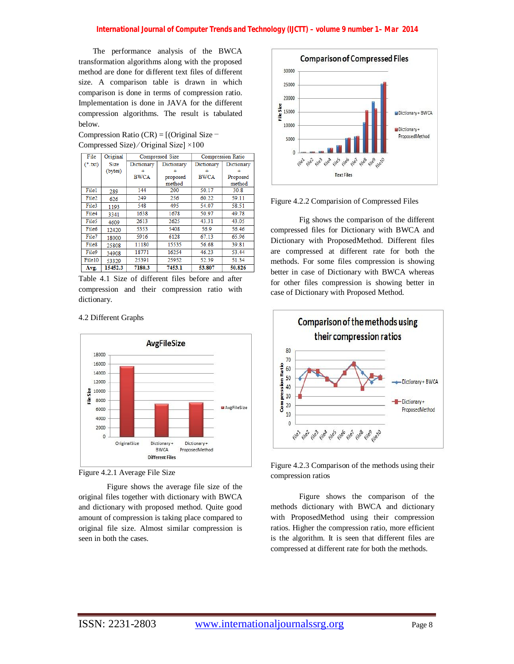The performance analysis of the BWCA transformation algorithms along with the proposed method are done for different text files of different size. A comparison table is drawn in which comparison is done in terms of compression ratio. Implementation is done in JAVA for the different compression algorithms. The result is tabulated below.

Compression Ratio (CR) = [(Original Size − Compressed Size) ∕ Original Size] ×100

| File      | Original | Compressed Size |            | <b>Compression Ratio</b> |            |
|-----------|----------|-----------------|------------|--------------------------|------------|
| $(*.txt)$ | Size     | Dictionary      | Dictionary | Dictionary               | Dictionary |
|           | (bytes)  |                 |            |                          |            |
|           |          | <b>BWCA</b>     | proposed   | <b>BWCA</b>              | Proposed   |
|           |          |                 | method     |                          | method     |
| File1     | 289      | 144             | 200        | 50.17                    | 30.8       |
| File2     | 626      | 249             | 256        | 60.22                    | 59.11      |
| File3     | 1193     | 548             | 495        | 54.07                    | 58.51      |
| File4     | 3341     | 1638            | 1678       | 50.97                    | 49.78      |
| File5     | 4609     | 2613            | 2625       | 43.31                    | 43.05      |
| File6     | 12420    | 5353            | 5408       | 56.9                     | 56.46      |
| File7     | 18000    | 5916            | 6128       | 67.13                    | 65.96      |
| File8     | 25808    | 11180           | 15535      | 56.68                    | 39.81      |
| File9     | 34908    | 18771           | 16254      | 46.23                    | 53.44      |
| File10    | 53329    | 25391           | 25952      | 52.39                    | 51.34      |
| Avg.      | 15452.3  | 7180.3          | 7453.1     | 53.807                   | 50.826     |

Table 4.1 Size of different files before and after compression and their compression ratio with dictionary.

#### 4.2 Different Graphs





Figure shows the average file size of the original files together with dictionary with BWCA and dictionary with proposed method. Quite good amount of compression is taking place compared to original file size. Almost similar compression is seen in both the cases.



Figure 4.2.2 Comparision of Compressed Files

Fig shows the comparison of the different compressed files for Dictionary with BWCA and Dictionary with ProposedMethod. Different files are compressed at different rate for both the methods. For some files compression is showing better in case of Dictionary with BWCA whereas for other files compression is showing better in case of Dictionary with Proposed Method.





Figure shows the comparison of the methods dictionary with BWCA and dictionary with ProposedMethod using their compression ratios. Higher the compression ratio, more efficient is the algorithm. It is seen that different files are compressed at different rate for both the methods.